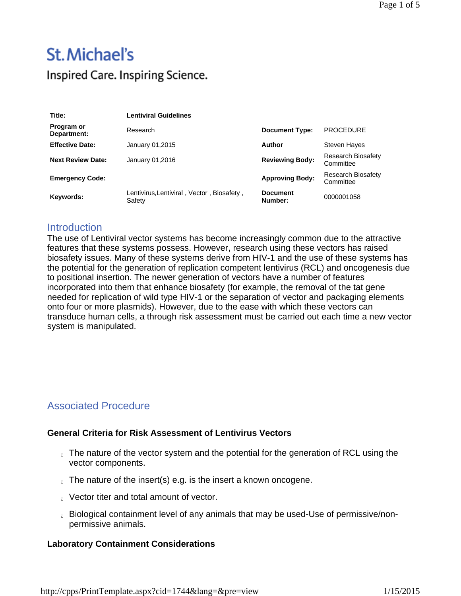# St. Michael's Inspired Care. Inspiring Science.

| Title:                    | <b>Lentiviral Guidelines</b>                         |                            |                                 |
|---------------------------|------------------------------------------------------|----------------------------|---------------------------------|
| Program or<br>Department: | Research                                             | <b>Document Type:</b>      | <b>PROCEDURE</b>                |
| <b>Effective Date:</b>    | January 01,2015                                      | Author                     | <b>Steven Hayes</b>             |
| <b>Next Review Date:</b>  | January 01,2016                                      | <b>Reviewing Body:</b>     | Research Biosafety<br>Committee |
| <b>Emergency Code:</b>    |                                                      | <b>Approving Body:</b>     | Research Biosafety<br>Committee |
| Keywords:                 | Lentivirus, Lentiviral, Vector, Biosafety,<br>Safety | <b>Document</b><br>Number: | 0000001058                      |

### **Introduction**

The use of Lentiviral vector systems has become increasingly common due to the attractive features that these systems possess. However, research using these vectors has raised biosafety issues. Many of these systems derive from HIV-1 and the use of these systems has the potential for the generation of replication competent lentivirus (RCL) and oncogenesis due to positional insertion. The newer generation of vectors have a number of features incorporated into them that enhance biosafety (for example, the removal of the tat gene needed for replication of wild type HIV-1 or the separation of vector and packaging elements onto four or more plasmids). However, due to the ease with which these vectors can transduce human cells, a through risk assessment must be carried out each time a new vector system is manipulated.

## Associated Procedure

#### **General Criteria for Risk Assessment of Lentivirus Vectors**

- $\epsilon$ . The nature of the vector system and the potential for the generation of RCL using the vector components.
- $\epsilon$  The nature of the insert(s) e.g. is the insert a known oncogene.
- **Vector titer and total amount of vector.**
- biological containment level of any animals that may be used-Use of permissive/nonpermissive animals.

#### **Laboratory Containment Considerations**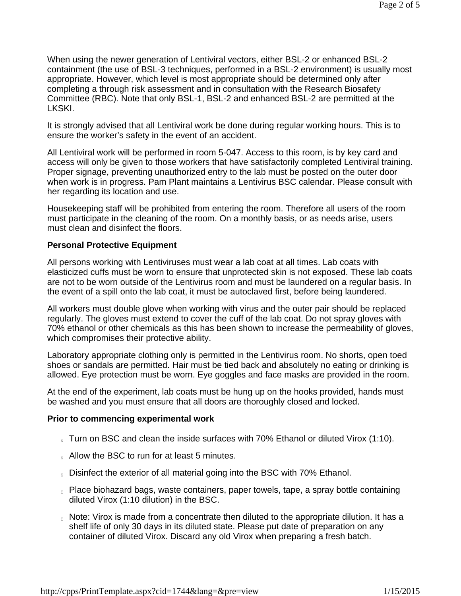When using the newer generation of Lentiviral vectors, either BSL-2 or enhanced BSL-2 containment (the use of BSL-3 techniques, performed in a BSL-2 environment) is usually most appropriate. However, which level is most appropriate should be determined only after completing a through risk assessment and in consultation with the Research Biosafety Committee (RBC). Note that only BSL-1, BSL-2 and enhanced BSL-2 are permitted at the LKSKI.

It is strongly advised that all Lentiviral work be done during regular working hours. This is to ensure the worker's safety in the event of an accident.

All Lentiviral work will be performed in room 5-047. Access to this room, is by key card and access will only be given to those workers that have satisfactorily completed Lentiviral training. Proper signage, preventing unauthorized entry to the lab must be posted on the outer door when work is in progress. Pam Plant maintains a Lentivirus BSC calendar. Please consult with her regarding its location and use.

Housekeeping staff will be prohibited from entering the room. Therefore all users of the room must participate in the cleaning of the room. On a monthly basis, or as needs arise, users must clean and disinfect the floors.

#### **Personal Protective Equipment**

All persons working with Lentiviruses must wear a lab coat at all times. Lab coats with elasticized cuffs must be worn to ensure that unprotected skin is not exposed. These lab coats are not to be worn outside of the Lentivirus room and must be laundered on a regular basis. In the event of a spill onto the lab coat, it must be autoclaved first, before being laundered.

All workers must double glove when working with virus and the outer pair should be replaced regularly. The gloves must extend to cover the cuff of the lab coat. Do not spray gloves with 70% ethanol or other chemicals as this has been shown to increase the permeability of gloves, which compromises their protective ability.

Laboratory appropriate clothing only is permitted in the Lentivirus room. No shorts, open toed shoes or sandals are permitted. Hair must be tied back and absolutely no eating or drinking is allowed. Eye protection must be worn. Eye goggles and face masks are provided in the room.

At the end of the experiment, lab coats must be hung up on the hooks provided, hands must be washed and you must ensure that all doors are thoroughly closed and locked.

#### **Prior to commencing experimental work**

- $_{\circ}$  Turn on BSC and clean the inside surfaces with 70% Ethanol or diluted Virox (1:10).
- **Allow the BSC to run for at least 5 minutes.**
- **Disinfect the exterior of all material going into the BSC with 70% Ethanol.**
- Place biohazard bags, waste containers, paper towels, tape, a spray bottle containing diluted Virox (1:10 dilution) in the BSC.
- $\epsilon$  Note: Virox is made from a concentrate then diluted to the appropriate dilution. It has a shelf life of only 30 days in its diluted state. Please put date of preparation on any container of diluted Virox. Discard any old Virox when preparing a fresh batch.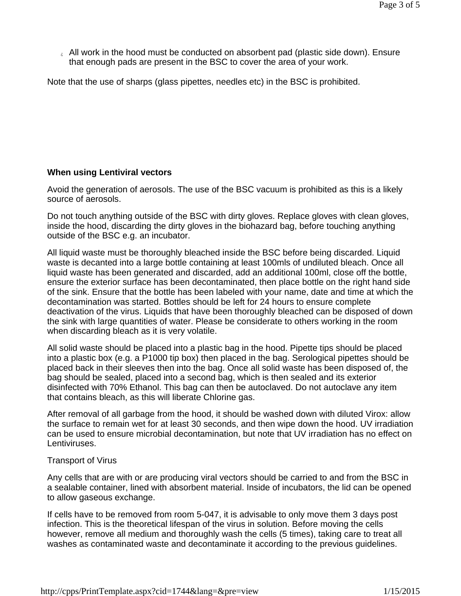$\epsilon$  All work in the hood must be conducted on absorbent pad (plastic side down). Ensure that enough pads are present in the BSC to cover the area of your work.

Note that the use of sharps (glass pipettes, needles etc) in the BSC is prohibited.

#### **When using Lentiviral vectors**

Avoid the generation of aerosols. The use of the BSC vacuum is prohibited as this is a likely source of aerosols.

Do not touch anything outside of the BSC with dirty gloves. Replace gloves with clean gloves, inside the hood, discarding the dirty gloves in the biohazard bag, before touching anything outside of the BSC e.g. an incubator.

All liquid waste must be thoroughly bleached inside the BSC before being discarded. Liquid waste is decanted into a large bottle containing at least 100mls of undiluted bleach. Once all liquid waste has been generated and discarded, add an additional 100ml, close off the bottle, ensure the exterior surface has been decontaminated, then place bottle on the right hand side of the sink. Ensure that the bottle has been labeled with your name, date and time at which the decontamination was started. Bottles should be left for 24 hours to ensure complete deactivation of the virus. Liquids that have been thoroughly bleached can be disposed of down the sink with large quantities of water. Please be considerate to others working in the room when discarding bleach as it is very volatile.

All solid waste should be placed into a plastic bag in the hood. Pipette tips should be placed into a plastic box (e.g. a P1000 tip box) then placed in the bag. Serological pipettes should be placed back in their sleeves then into the bag. Once all solid waste has been disposed of, the bag should be sealed, placed into a second bag, which is then sealed and its exterior disinfected with 70% Ethanol. This bag can then be autoclaved. Do not autoclave any item that contains bleach, as this will liberate Chlorine gas.

After removal of all garbage from the hood, it should be washed down with diluted Virox: allow the surface to remain wet for at least 30 seconds, and then wipe down the hood. UV irradiation can be used to ensure microbial decontamination, but note that UV irradiation has no effect on Lentiviruses.

#### Transport of Virus

Any cells that are with or are producing viral vectors should be carried to and from the BSC in a sealable container, lined with absorbent material. Inside of incubators, the lid can be opened to allow gaseous exchange.

If cells have to be removed from room 5-047, it is advisable to only move them 3 days post infection. This is the theoretical lifespan of the virus in solution. Before moving the cells however, remove all medium and thoroughly wash the cells (5 times), taking care to treat all washes as contaminated waste and decontaminate it according to the previous guidelines.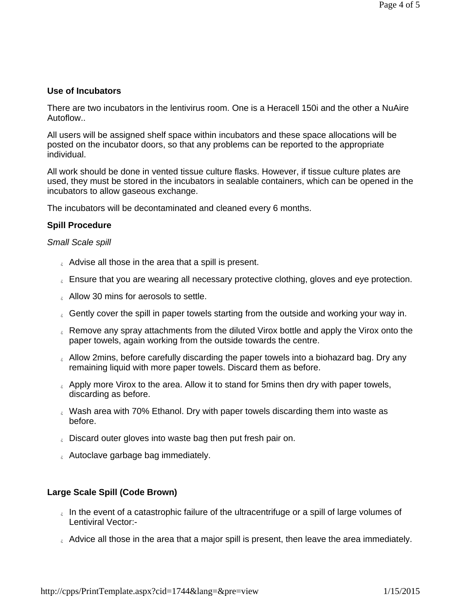#### **Use of Incubators**

There are two incubators in the lentivirus room. One is a Heracell 150i and the other a NuAire Autoflow..

All users will be assigned shelf space within incubators and these space allocations will be posted on the incubator doors, so that any problems can be reported to the appropriate individual.

All work should be done in vented tissue culture flasks. However, if tissue culture plates are used, they must be stored in the incubators in sealable containers, which can be opened in the incubators to allow gaseous exchange.

The incubators will be decontaminated and cleaned every 6 months.

#### **Spill Procedure**

#### *Small Scale spill*

- $\epsilon$  Advise all those in the area that a spill is present.
- **Ensure that you are wearing all necessary protective clothing, gloves and eye protection.**
- **Allow 30 mins for aerosols to settle.**
- **Gently cover the spill in paper towels starting from the outside and working your way in.**
- Remove any spray attachments from the diluted Virox bottle and apply the Virox onto the paper towels, again working from the outside towards the centre.
- $\epsilon$  Allow 2mins, before carefully discarding the paper towels into a biohazard bag. Dry any remaining liquid with more paper towels. Discard them as before.
- $\epsilon$  Apply more Virox to the area. Allow it to stand for 5 mins then dry with paper towels, discarding as before.
- Wash area with 70% Ethanol. Dry with paper towels discarding them into waste as before.
- **Discard outer gloves into waste bag then put fresh pair on.**
- **Autoclave garbage bag immediately.**

#### **Large Scale Spill (Code Brown)**

- In the event of a catastrophic failure of the ultracentrifuge or a spill of large volumes of Lentiviral Vector:-
- $\epsilon$  Advice all those in the area that a major spill is present, then leave the area immediately.